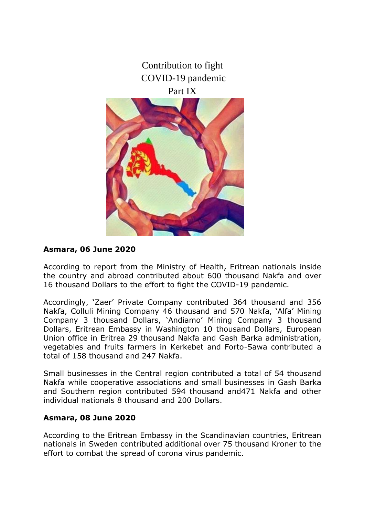

# **Asmara, 06 June 2020**

According to report from the Ministry of Health, Eritrean nationals inside the country and abroad contributed about 600 thousand Nakfa and over 16 thousand Dollars to the effort to fight the COVID-19 pandemic.

Accordingly, 'Zaer' Private Company contributed 364 thousand and 356 Nakfa, Colluli Mining Company 46 thousand and 570 Nakfa, 'Alfa' Mining Company 3 thousand Dollars, 'Andiamo' Mining Company 3 thousand Dollars, Eritrean Embassy in Washington 10 thousand Dollars, European Union office in Eritrea 29 thousand Nakfa and Gash Barka administration, vegetables and fruits farmers in Kerkebet and Forto-Sawa contributed a total of 158 thousand and 247 Nakfa.

Small businesses in the Central region contributed a total of 54 thousand Nakfa while cooperative associations and small businesses in Gash Barka and Southern region contributed 594 thousand and471 Nakfa and other individual nationals 8 thousand and 200 Dollars.

# **Asmara, 08 June 2020**

According to the Eritrean Embassy in the Scandinavian countries, Eritrean nationals in Sweden contributed additional over 75 thousand Kroner to the effort to combat the spread of corona virus pandemic.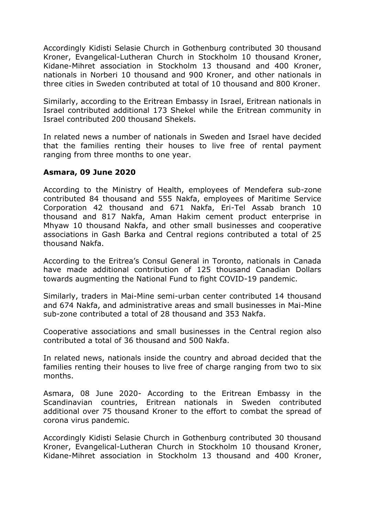Accordingly Kidisti Selasie Church in Gothenburg contributed 30 thousand Kroner, Evangelical-Lutheran Church in Stockholm 10 thousand Kroner, Kidane-Mihret association in Stockholm 13 thousand and 400 Kroner, nationals in Norberi 10 thousand and 900 Kroner, and other nationals in three cities in Sweden contributed at total of 10 thousand and 800 Kroner.

Similarly, according to the Eritrean Embassy in Israel, Eritrean nationals in Israel contributed additional 173 Shekel while the Eritrean community in Israel contributed 200 thousand Shekels.

In related news a number of nationals in Sweden and Israel have decided that the families renting their houses to live free of rental payment ranging from three months to one year.

## **Asmara, 09 June 2020**

According to the Ministry of Health, employees of Mendefera sub-zone contributed 84 thousand and 555 Nakfa, employees of Maritime Service Corporation 42 thousand and 671 Nakfa, Eri-Tel Assab branch 10 thousand and 817 Nakfa, Aman Hakim cement product enterprise in Mhyaw 10 thousand Nakfa, and other small businesses and cooperative associations in Gash Barka and Central regions contributed a total of 25 thousand Nakfa.

According to the Eritrea's Consul General in Toronto, nationals in Canada have made additional contribution of 125 thousand Canadian Dollars towards augmenting the National Fund to fight COVID-19 pandemic.

Similarly, traders in Mai-Mine semi-urban center contributed 14 thousand and 674 Nakfa, and administrative areas and small businesses in Mai-Mine sub-zone contributed a total of 28 thousand and 353 Nakfa.

Cooperative associations and small businesses in the Central region also contributed a total of 36 thousand and 500 Nakfa.

In related news, nationals inside the country and abroad decided that the families renting their houses to live free of charge ranging from two to six months.

Asmara, 08 June 2020- According to the Eritrean Embassy in the Scandinavian countries, Eritrean nationals in Sweden contributed additional over 75 thousand Kroner to the effort to combat the spread of corona virus pandemic.

Accordingly Kidisti Selasie Church in Gothenburg contributed 30 thousand Kroner, Evangelical-Lutheran Church in Stockholm 10 thousand Kroner, Kidane-Mihret association in Stockholm 13 thousand and 400 Kroner,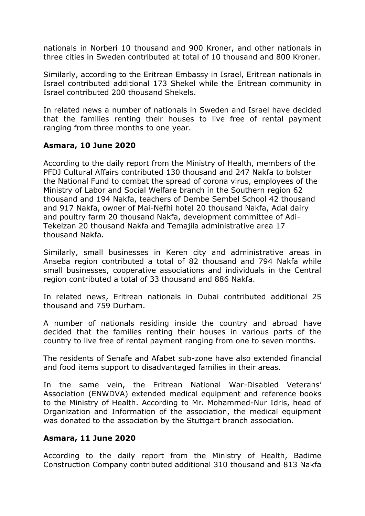nationals in Norberi 10 thousand and 900 Kroner, and other nationals in three cities in Sweden contributed at total of 10 thousand and 800 Kroner.

Similarly, according to the Eritrean Embassy in Israel, Eritrean nationals in Israel contributed additional 173 Shekel while the Eritrean community in Israel contributed 200 thousand Shekels.

In related news a number of nationals in Sweden and Israel have decided that the families renting their houses to live free of rental payment ranging from three months to one year.

## **Asmara, 10 June 2020**

According to the daily report from the Ministry of Health, members of the PFDJ Cultural Affairs contributed 130 thousand and 247 Nakfa to bolster the National Fund to combat the spread of corona virus, employees of the Ministry of Labor and Social Welfare branch in the Southern region 62 thousand and 194 Nakfa, teachers of Dembe Sembel School 42 thousand and 917 Nakfa, owner of Mai-Nefhi hotel 20 thousand Nakfa, Adal dairy and poultry farm 20 thousand Nakfa, development committee of Adi-Tekelzan 20 thousand Nakfa and Temajila administrative area 17 thousand Nakfa.

Similarly, small businesses in Keren city and administrative areas in Anseba region contributed a total of 82 thousand and 794 Nakfa while small businesses, cooperative associations and individuals in the Central region contributed a total of 33 thousand and 886 Nakfa.

In related news, Eritrean nationals in Dubai contributed additional 25 thousand and 759 Durham.

A number of nationals residing inside the country and abroad have decided that the families renting their houses in various parts of the country to live free of rental payment ranging from one to seven months.

The residents of Senafe and Afabet sub-zone have also extended financial and food items support to disadvantaged families in their areas.

In the same vein, the Eritrean National War-Disabled Veterans' Association (ENWDVA) extended medical equipment and reference books to the Ministry of Health. According to Mr. Mohammed-Nur Idris, head of Organization and Information of the association, the medical equipment was donated to the association by the Stuttgart branch association.

## **Asmara, 11 June 2020**

According to the daily report from the Ministry of Health, Badime Construction Company contributed additional 310 thousand and 813 Nakfa